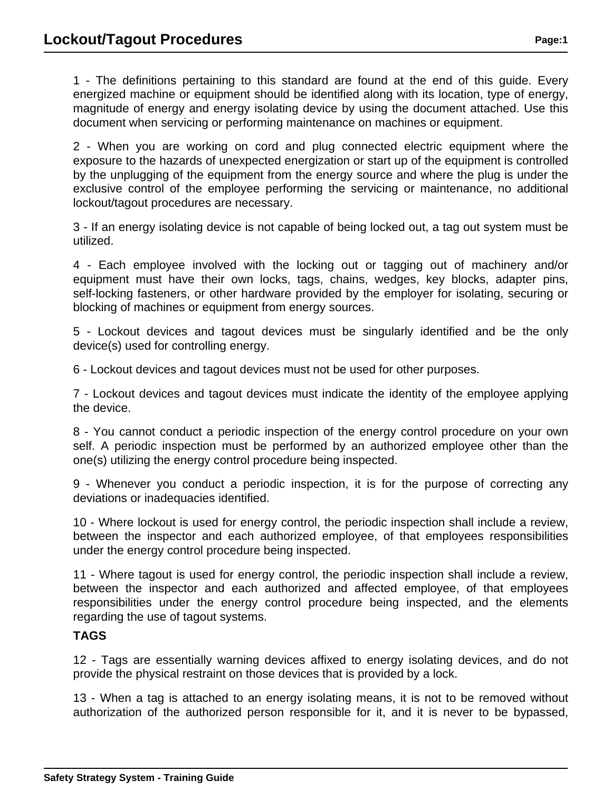1 - The definitions pertaining to this standard are found at the end of this guide. Every energized machine or equipment should be identified along with its location, type of energy, magnitude of energy and energy isolating device by using the document attached. Use this document when servicing or performing maintenance on machines or equipment.

2 - When you are working on cord and plug connected electric equipment where the exposure to the hazards of unexpected energization or start up of the equipment is controlled by the unplugging of the equipment from the energy source and where the plug is under the exclusive control of the employee performing the servicing or maintenance, no additional lockout/tagout procedures are necessary.

3 - If an energy isolating device is not capable of being locked out, a tag out system must be utilized.

4 - Each employee involved with the locking out or tagging out of machinery and/or equipment must have their own locks, tags, chains, wedges, key blocks, adapter pins, self-locking fasteners, or other hardware provided by the employer for isolating, securing or blocking of machines or equipment from energy sources.

5 - Lockout devices and tagout devices must be singularly identified and be the only device(s) used for controlling energy.

6 - Lockout devices and tagout devices must not be used for other purposes.

7 - Lockout devices and tagout devices must indicate the identity of the employee applying the device.

8 - You cannot conduct a periodic inspection of the energy control procedure on your own self. A periodic inspection must be performed by an authorized employee other than the one(s) utilizing the energy control procedure being inspected.

9 - Whenever you conduct a periodic inspection, it is for the purpose of correcting any deviations or inadequacies identified.

10 - Where lockout is used for energy control, the periodic inspection shall include a review, between the inspector and each authorized employee, of that employees responsibilities under the energy control procedure being inspected.

11 - Where tagout is used for energy control, the periodic inspection shall include a review, between the inspector and each authorized and affected employee, of that employees responsibilities under the energy control procedure being inspected, and the elements regarding the use of tagout systems.

#### **TAGS**

12 - Tags are essentially warning devices affixed to energy isolating devices, and do not provide the physical restraint on those devices that is provided by a lock.

13 - When a tag is attached to an energy isolating means, it is not to be removed without authorization of the authorized person responsible for it, and it is never to be bypassed,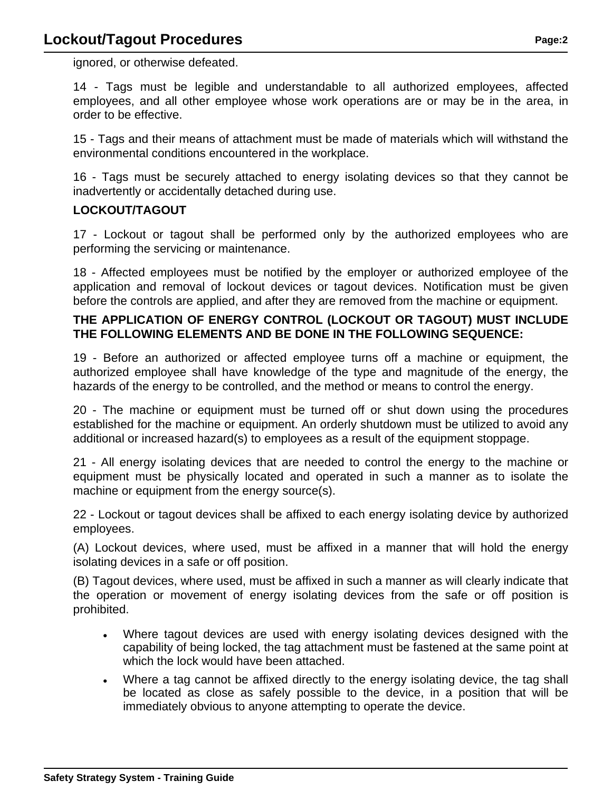ignored, or otherwise defeated.

14 - Tags must be legible and understandable to all authorized employees, affected employees, and all other employee whose work operations are or may be in the area, in order to be effective.

15 - Tags and their means of attachment must be made of materials which will withstand the environmental conditions encountered in the workplace.

16 - Tags must be securely attached to energy isolating devices so that they cannot be inadvertently or accidentally detached during use.

## **LOCKOUT/TAGOUT**

17 - Lockout or tagout shall be performed only by the authorized employees who are performing the servicing or maintenance.

18 - Affected employees must be notified by the employer or authorized employee of the application and removal of lockout devices or tagout devices. Notification must be given before the controls are applied, and after they are removed from the machine or equipment.

### **THE APPLICATION OF ENERGY CONTROL (LOCKOUT OR TAGOUT) MUST INCLUDE THE FOLLOWING ELEMENTS AND BE DONE IN THE FOLLOWING SEQUENCE:**

19 - Before an authorized or affected employee turns off a machine or equipment, the authorized employee shall have knowledge of the type and magnitude of the energy, the hazards of the energy to be controlled, and the method or means to control the energy.

20 - The machine or equipment must be turned off or shut down using the procedures established for the machine or equipment. An orderly shutdown must be utilized to avoid any additional or increased hazard(s) to employees as a result of the equipment stoppage.

21 - All energy isolating devices that are needed to control the energy to the machine or equipment must be physically located and operated in such a manner as to isolate the machine or equipment from the energy source(s).

22 - Lockout or tagout devices shall be affixed to each energy isolating device by authorized employees.

(A) Lockout devices, where used, must be affixed in a manner that will hold the energy isolating devices in a safe or off position.

(B) Tagout devices, where used, must be affixed in such a manner as will clearly indicate that the operation or movement of energy isolating devices from the safe or off position is prohibited.

- Where tagout devices are used with energy isolating devices designed with the capability of being locked, the tag attachment must be fastened at the same point at which the lock would have been attached.
- Where a tag cannot be affixed directly to the energy isolating device, the tag shall be located as close as safely possible to the device, in a position that will be immediately obvious to anyone attempting to operate the device.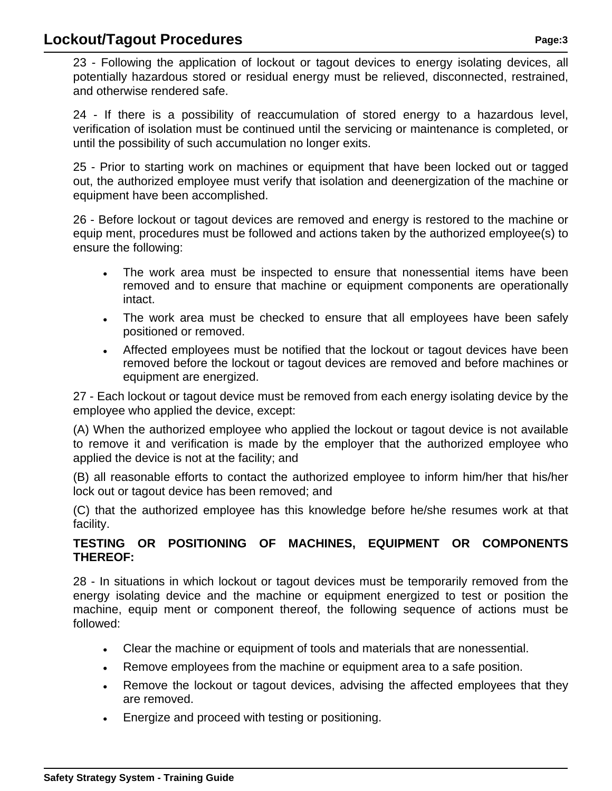# **Lockout/Tagout Procedures Page:3 Page:3**

23 - Following the application of lockout or tagout devices to energy isolating devices, all potentially hazardous stored or residual energy must be relieved, disconnected, restrained, and otherwise rendered safe.

24 - If there is a possibility of reaccumulation of stored energy to a hazardous level, verification of isolation must be continued until the servicing or maintenance is completed, or until the possibility of such accumulation no longer exits.

25 - Prior to starting work on machines or equipment that have been locked out or tagged out, the authorized employee must verify that isolation and deenergization of the machine or equipment have been accomplished.

26 - Before lockout or tagout devices are removed and energy is restored to the machine or equip ment, procedures must be followed and actions taken by the authorized employee(s) to ensure the following:

- The work area must be inspected to ensure that nonessential items have been removed and to ensure that machine or equipment components are operationally intact.
- The work area must be checked to ensure that all employees have been safely positioned or removed.
- Affected employees must be notified that the lockout or tagout devices have been removed before the lockout or tagout devices are removed and before machines or equipment are energized.

27 - Each lockout or tagout device must be removed from each energy isolating device by the employee who applied the device, except:

(A) When the authorized employee who applied the lockout or tagout device is not available to remove it and verification is made by the employer that the authorized employee who applied the device is not at the facility; and

(B) all reasonable efforts to contact the authorized employee to inform him/her that his/her lock out or tagout device has been removed; and

(C) that the authorized employee has this knowledge before he/she resumes work at that facility.

## **TESTING OR POSITIONING OF MACHINES, EQUIPMENT OR COMPONENTS THEREOF:**

28 - In situations in which lockout or tagout devices must be temporarily removed from the energy isolating device and the machine or equipment energized to test or position the machine, equip ment or component thereof, the following sequence of actions must be followed:

- Clear the machine or equipment of tools and materials that are nonessential.
- Remove employees from the machine or equipment area to a safe position.
- Remove the lockout or tagout devices, advising the affected employees that they are removed.
- Energize and proceed with testing or positioning.